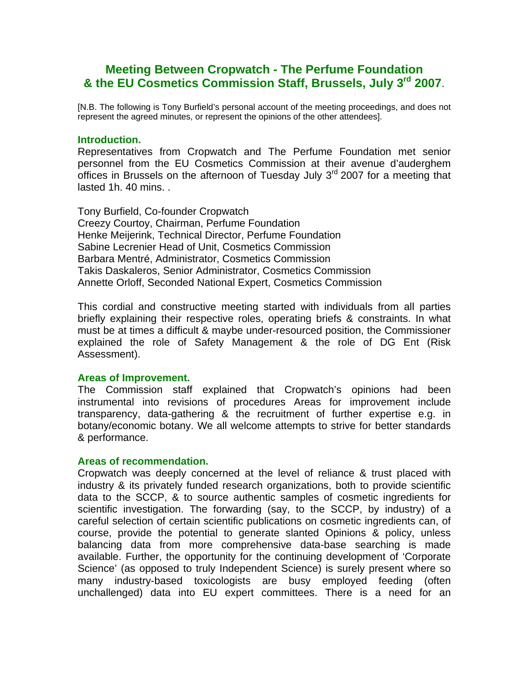# **Meeting Between Cropwatch - The Perfume Foundation & the EU Cosmetics Commission Staff, Brussels, July 3rd 2007**.

[N.B. The following is Tony Burfield's personal account of the meeting proceedings, and does not represent the agreed minutes, or represent the opinions of the other attendees].

## **Introduction.**

Representatives from Cropwatch and The Perfume Foundation met senior personnel from the EU Cosmetics Commission at their avenue d'auderghem offices in Brussels on the afternoon of Tuesday July 3<sup>rd</sup> 2007 for a meeting that lasted 1h. 40 mins. .

Tony Burfield, Co-founder Cropwatch Creezy Courtoy, Chairman, Perfume Foundation Henke Meijerink, Technical Director, Perfume Foundation Sabine Lecrenier Head of Unit, Cosmetics Commission Barbara Mentré, Administrator, Cosmetics Commission Takis Daskaleros, Senior Administrator, Cosmetics Commission Annette Orloff, Seconded National Expert, Cosmetics Commission

This cordial and constructive meeting started with individuals from all parties briefly explaining their respective roles, operating briefs & constraints. In what must be at times a difficult & maybe under-resourced position, the Commissioner explained the role of Safety Management & the role of DG Ent (Risk Assessment).

#### **Areas of Improvement.**

The Commission staff explained that Cropwatch's opinions had been instrumental into revisions of procedures Areas for improvement include transparency, data-gathering & the recruitment of further expertise e.g. in botany/economic botany. We all welcome attempts to strive for better standards & performance.

## **Areas of recommendation.**

Cropwatch was deeply concerned at the level of reliance & trust placed with industry & its privately funded research organizations, both to provide scientific data to the SCCP, & to source authentic samples of cosmetic ingredients for scientific investigation. The forwarding (say, to the SCCP, by industry) of a careful selection of certain scientific publications on cosmetic ingredients can, of course, provide the potential to generate slanted Opinions & policy, unless balancing data from more comprehensive data-base searching is made available. Further, the opportunity for the continuing development of 'Corporate Science' (as opposed to truly Independent Science) is surely present where so many industry-based toxicologists are busy employed feeding (often unchallenged) data into EU expert committees. There is a need for an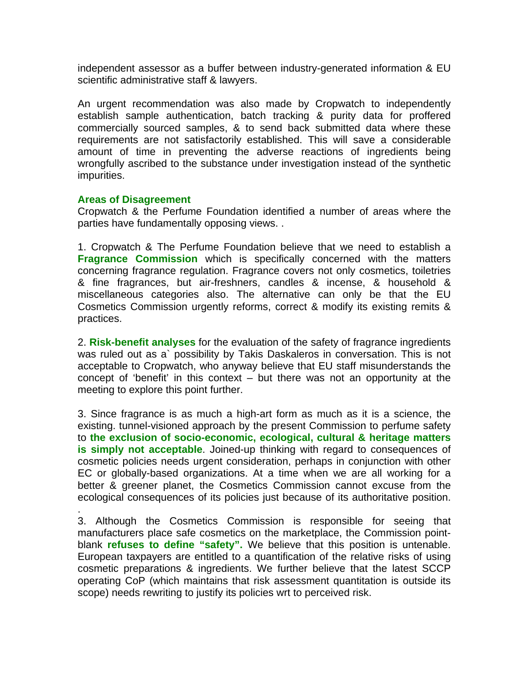independent assessor as a buffer between industry-generated information & EU scientific administrative staff & lawyers.

An urgent recommendation was also made by Cropwatch to independently establish sample authentication, batch tracking & purity data for proffered commercially sourced samples, & to send back submitted data where these requirements are not satisfactorily established. This will save a considerable amount of time in preventing the adverse reactions of ingredients being wrongfully ascribed to the substance under investigation instead of the synthetic impurities.

# **Areas of Disagreement**

.

Cropwatch & the Perfume Foundation identified a number of areas where the parties have fundamentally opposing views. .

1. Cropwatch & The Perfume Foundation believe that we need to establish a **Fragrance Commission** which is specifically concerned with the matters concerning fragrance regulation. Fragrance covers not only cosmetics, toiletries & fine fragrances, but air-freshners, candles & incense, & household & miscellaneous categories also. The alternative can only be that the EU Cosmetics Commission urgently reforms, correct & modify its existing remits & practices.

2. **Risk-benefit analyses** for the evaluation of the safety of fragrance ingredients was ruled out as a` possibility by Takis Daskaleros in conversation. This is not acceptable to Cropwatch, who anyway believe that EU staff misunderstands the concept of 'benefit' in this context – but there was not an opportunity at the meeting to explore this point further.

3. Since fragrance is as much a high-art form as much as it is a science, the existing. tunnel-visioned approach by the present Commission to perfume safety to **the exclusion of socio-economic, ecological, cultural & heritage matters is simply not acceptable**. Joined-up thinking with regard to consequences of cosmetic policies needs urgent consideration, perhaps in conjunction with other EC or globally-based organizations. At a time when we are all working for a better & greener planet, the Cosmetics Commission cannot excuse from the ecological consequences of its policies just because of its authoritative position.

3. Although the Cosmetics Commission is responsible for seeing that manufacturers place safe cosmetics on the marketplace, the Commission pointblank **refuses to define "safety".** We believe that this position is untenable. European taxpayers are entitled to a quantification of the relative risks of using cosmetic preparations & ingredients. We further believe that the latest SCCP operating CoP (which maintains that risk assessment quantitation is outside its scope) needs rewriting to justify its policies wrt to perceived risk.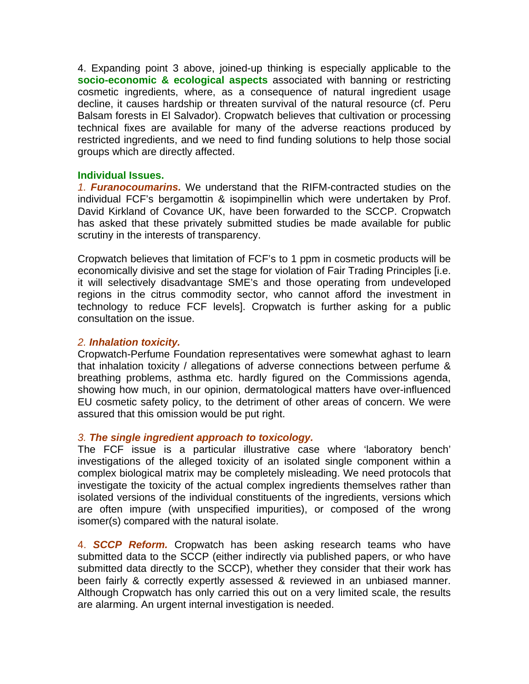4. Expanding point 3 above, joined-up thinking is especially applicable to the **socio-economic & ecological aspects** associated with banning or restricting cosmetic ingredients, where, as a consequence of natural ingredient usage decline, it causes hardship or threaten survival of the natural resource (cf. Peru Balsam forests in El Salvador). Cropwatch believes that cultivation or processing technical fixes are available for many of the adverse reactions produced by restricted ingredients, and we need to find funding solutions to help those social groups which are directly affected.

# **Individual Issues.**

*1. Furanocoumarins.* We understand that the RIFM-contracted studies on the individual FCF's bergamottin & isopimpinellin which were undertaken by Prof. David Kirkland of Covance UK, have been forwarded to the SCCP. Cropwatch has asked that these privately submitted studies be made available for public scrutiny in the interests of transparency.

Cropwatch believes that limitation of FCF's to 1 ppm in cosmetic products will be economically divisive and set the stage for violation of Fair Trading Principles [i.e. it will selectively disadvantage SME's and those operating from undeveloped regions in the citrus commodity sector, who cannot afford the investment in technology to reduce FCF levels]. Cropwatch is further asking for a public consultation on the issue.

# *2. Inhalation toxicity.*

Cropwatch-Perfume Foundation representatives were somewhat aghast to learn that inhalation toxicity / allegations of adverse connections between perfume & breathing problems, asthma etc. hardly figured on the Commissions agenda, showing how much, in our opinion, dermatological matters have over-influenced EU cosmetic safety policy, to the detriment of other areas of concern. We were assured that this omission would be put right.

# *3. The single ingredient approach to toxicology.*

The FCF issue is a particular illustrative case where 'laboratory bench' investigations of the alleged toxicity of an isolated single component within a complex biological matrix may be completely misleading. We need protocols that investigate the toxicity of the actual complex ingredients themselves rather than isolated versions of the individual constituents of the ingredients, versions which are often impure (with unspecified impurities), or composed of the wrong isomer(s) compared with the natural isolate.

4. *SCCP Reform.* Cropwatch has been asking research teams who have submitted data to the SCCP (either indirectly via published papers, or who have submitted data directly to the SCCP), whether they consider that their work has been fairly & correctly expertly assessed & reviewed in an unbiased manner. Although Cropwatch has only carried this out on a very limited scale, the results are alarming. An urgent internal investigation is needed.